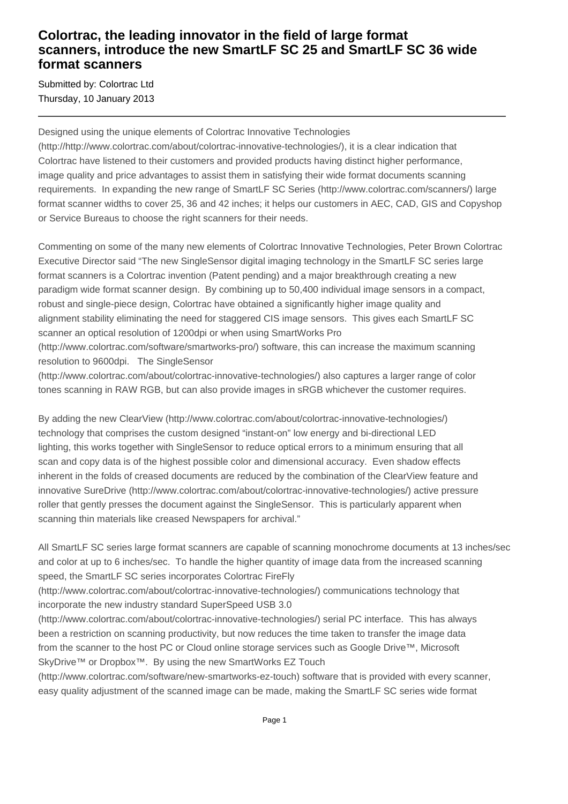## **Colortrac, the leading innovator in the field of large format scanners, introduce the new SmartLF SC 25 and SmartLF SC 36 wide format scanners**

Submitted by: Colortrac Ltd Thursday, 10 January 2013

Designed using the unique elements of Colortrac Innovative Technologies

(http://http://www.colortrac.com/about/colortrac-innovative-technologies/), it is a clear indication that Colortrac have listened to their customers and provided products having distinct higher performance, image quality and price advantages to assist them in satisfying their wide format documents scanning requirements. In expanding the new range of SmartLF SC Series (http://www.colortrac.com/scanners/) large format scanner widths to cover 25, 36 and 42 inches; it helps our customers in AEC, CAD, GIS and Copyshop or Service Bureaus to choose the right scanners for their needs.

Commenting on some of the many new elements of Colortrac Innovative Technologies, Peter Brown Colortrac Executive Director said "The new SingleSensor digital imaging technology in the SmartLF SC series large format scanners is a Colortrac invention (Patent pending) and a major breakthrough creating a new paradigm wide format scanner design. By combining up to 50,400 individual image sensors in a compact, robust and single-piece design, Colortrac have obtained a significantly higher image quality and alignment stability eliminating the need for staggered CIS image sensors. This gives each SmartLF SC scanner an optical resolution of 1200dpi or when using SmartWorks Pro

(http://www.colortrac.com/software/smartworks-pro/) software, this can increase the maximum scanning resolution to 9600dpi. The SingleSensor

(http://www.colortrac.com/about/colortrac-innovative-technologies/) also captures a larger range of color tones scanning in RAW RGB, but can also provide images in sRGB whichever the customer requires.

By adding the new ClearView (http://www.colortrac.com/about/colortrac-innovative-technologies/) technology that comprises the custom designed "instant-on" low energy and bi-directional LED lighting, this works together with SingleSensor to reduce optical errors to a minimum ensuring that all scan and copy data is of the highest possible color and dimensional accuracy. Even shadow effects inherent in the folds of creased documents are reduced by the combination of the ClearView feature and innovative SureDrive (http://www.colortrac.com/about/colortrac-innovative-technologies/) active pressure roller that gently presses the document against the SingleSensor. This is particularly apparent when scanning thin materials like creased Newspapers for archival."

All SmartLF SC series large format scanners are capable of scanning monochrome documents at 13 inches/sec and color at up to 6 inches/sec. To handle the higher quantity of image data from the increased scanning speed, the SmartLF SC series incorporates Colortrac FireFly

(http://www.colortrac.com/about/colortrac-innovative-technologies/) communications technology that incorporate the new industry standard SuperSpeed USB 3.0

(http://www.colortrac.com/about/colortrac-innovative-technologies/) serial PC interface. This has always been a restriction on scanning productivity, but now reduces the time taken to transfer the image data from the scanner to the host PC or Cloud online storage services such as Google Drive™, Microsoft SkyDrive™ or Dropbox<sup>™</sup>. By using the new SmartWorks EZ Touch

(http://www.colortrac.com/software/new-smartworks-ez-touch) software that is provided with every scanner, easy quality adjustment of the scanned image can be made, making the SmartLF SC series wide format